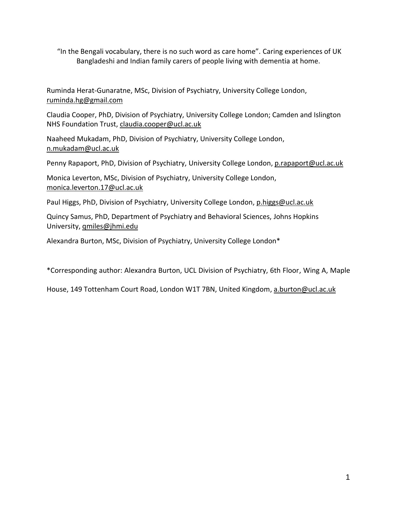"In the Bengali vocabulary, there is no such word as care home". Caring experiences of UK Bangladeshi and Indian family carers of people living with dementia at home.

Ruminda Herat-Gunaratne, MSc, Division of Psychiatry, University College London, [ruminda.hg@gmail.com](mailto:ruminda.hg@gmail.com)

Claudia Cooper, PhD, Division of Psychiatry, University College London; Camden and Islington NHS Foundation Trust, [claudia.cooper@ucl.ac.uk](mailto:claudia.cooper@ucl.ac.uk)

Naaheed Mukadam, PhD, Division of Psychiatry, University College London, [n.mukadam@ucl.ac.uk](mailto:n.mukadam@ucl.ac.uk)

Penny Rapaport, PhD, Division of Psychiatry, University College London[, p.rapaport@ucl.ac.uk](mailto:p.rapaport@ucl.ac.uk)

Monica Leverton, MSc, Division of Psychiatry, University College London, [monica.leverton.17@ucl.ac.uk](mailto:monica.leverton.17@ucl.ac.uk)

Paul Higgs, PhD, Division of Psychiatry, University College London, [p.higgs@ucl.ac.uk](mailto:p.higgs@ucl.ac.uk)

Quincy Samus, PhD, Department of Psychiatry and Behavioral Sciences, Johns Hopkins University, [qmiles@jhmi.edu](mailto:qmiles@jhmi.edu)

Alexandra Burton, MSc, Division of Psychiatry, University College London\*

\*Corresponding author: Alexandra Burton, UCL Division of Psychiatry, 6th Floor, Wing A, Maple

House, 149 Tottenham Court Road, London W1T 7BN, United Kingdom, [a.burton@ucl.ac.uk](mailto:a.burton@ucl.ac.uk)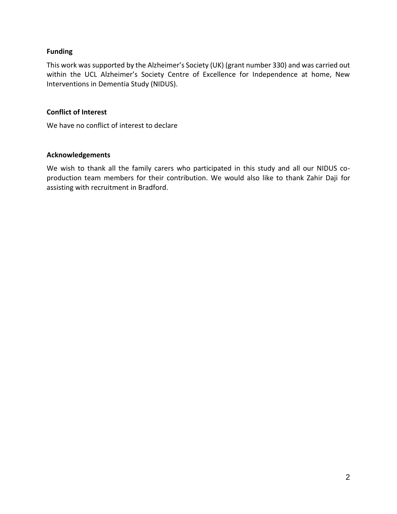## **Funding**

This work was supported by the Alzheimer's Society (UK) (grant number 330) and was carried out within the UCL Alzheimer's Society Centre of Excellence for Independence at home, New Interventions in Dementia Study (NIDUS).

## **Conflict of Interest**

We have no conflict of interest to declare

## **Acknowledgements**

We wish to thank all the family carers who participated in this study and all our NIDUS coproduction team members for their contribution. We would also like to thank Zahir Daji for assisting with recruitment in Bradford.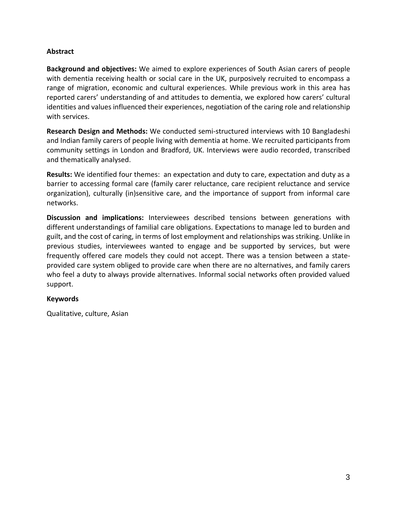## **Abstract**

**Background and objectives:** We aimed to explore experiences of South Asian carers of people with dementia receiving health or social care in the UK, purposively recruited to encompass a range of migration, economic and cultural experiences. While previous work in this area has reported carers' understanding of and attitudes to dementia, we explored how carers' cultural identities and values influenced their experiences, negotiation of the caring role and relationship with services.

**Research Design and Methods:** We conducted semi-structured interviews with 10 Bangladeshi and Indian family carers of people living with dementia at home. We recruited participants from community settings in London and Bradford, UK. Interviews were audio recorded, transcribed and thematically analysed.

**Results:** We identified four themes: an expectation and duty to care, expectation and duty as a barrier to accessing formal care (family carer reluctance, care recipient reluctance and service organization), culturally (in)sensitive care, and the importance of support from informal care networks.

**Discussion and implications:** Interviewees described tensions between generations with different understandings of familial care obligations. Expectations to manage led to burden and guilt, and the cost of caring, in terms of lost employment and relationships was striking. Unlike in previous studies, interviewees wanted to engage and be supported by services, but were frequently offered care models they could not accept. There was a tension between a stateprovided care system obliged to provide care when there are no alternatives, and family carers who feel a duty to always provide alternatives. Informal social networks often provided valued support.

### **Keywords**

Qualitative, culture, Asian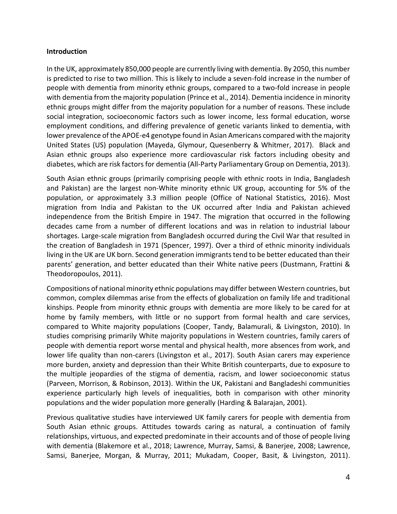### **Introduction**

In the UK, approximately 850,000 people are currently living with dementia. By 2050, this number is predicted to rise to two million. This is likely to include a seven-fold increase in the number of people with dementia from minority ethnic groups, compared to a two-fold increase in people with dementia from the majority population (Prince et al., 2014). Dementia incidence in minority ethnic groups might differ from the majority population for a number of reasons. These include social integration, socioeconomic factors such as lower income, less formal education, worse employment conditions, and differing prevalence of genetic variants linked to dementia, with lower prevalence of the APOE-e4 genotype found in Asian Americans compared with the majority United States (US) population (Mayeda, Glymour, Quesenberry & Whitmer, 2017). Black and Asian ethnic groups also experience more cardiovascular risk factors including obesity and diabetes, which are risk factors for dementia (All-Party Parliamentary Group on Dementia, 2013).

South Asian ethnic groups (primarily comprising people with ethnic roots in India, Bangladesh and Pakistan) are the largest non-White minority ethnic UK group, accounting for 5% of the population, or approximately 3.3 million people (Office of National Statistics, 2016). Most migration from India and Pakistan to the UK occurred after India and Pakistan achieved independence from the British Empire in 1947. The migration that occurred in the following decades came from a number of different locations and was in relation to industrial labour shortages. Large-scale migration from Bangladesh occurred during the Civil War that resulted in the creation of Bangladesh in 1971 (Spencer, 1997). Over a third of ethnic minority individuals living in the UK are UK born. Second generation immigrants tend to be better educated than their parents' generation, and better educated than their White native peers (Dustmann, Frattini & Theodoropoulos, 2011).

Compositions of national minority ethnic populations may differ between Western countries, but common, complex dilemmas arise from the effects of globalization on family life and traditional kinships. People from minority ethnic groups with dementia are more likely to be cared for at home by family members, with little or no support from formal health and care services, compared to White majority populations (Cooper, Tandy, Balamurali, & Livingston, 2010). In studies comprising primarily White majority populations in Western countries, family carers of people with dementia report worse mental and physical health, more absences from work, and lower life quality than non-carers (Livingston et al., 2017). South Asian carers may experience more burden, anxiety and depression than their White British counterparts, due to exposure to the multiple jeopardies of the stigma of dementia, racism, and lower socioeconomic status (Parveen, Morrison, & Robinson, 2013). Within the UK, Pakistani and Bangladeshi communities experience particularly high levels of inequalities, both in comparison with other minority populations and the wider population more generally (Harding & Balarajan, 2001).

Previous qualitative studies have interviewed UK family carers for people with dementia from South Asian ethnic groups. Attitudes towards caring as natural, a continuation of family relationships, virtuous, and expected predominate in their accounts and of those of people living with dementia (Blakemore et al., 2018; Lawrence, Murray, Samsi, & Banerjee, 2008; Lawrence, Samsi, Banerjee, Morgan, & Murray, 2011; Mukadam, Cooper, Basit, & Livingston, 2011).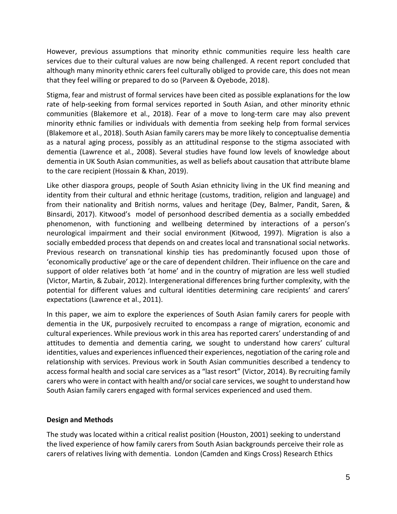However, previous assumptions that minority ethnic communities require less health care services due to their cultural values are now being challenged. A recent report concluded that although many minority ethnic carers feel culturally obliged to provide care, this does not mean that they feel willing or prepared to do so (Parveen & Oyebode, 2018).

Stigma, fear and mistrust of formal services have been cited as possible explanations for the low rate of help-seeking from formal services reported in South Asian, and other minority ethnic communities (Blakemore et al., 2018). Fear of a move to long-term care may also prevent minority ethnic families or individuals with dementia from seeking help from formal services (Blakemore et al., 2018). South Asian family carers may be more likely to conceptualise dementia as a natural aging process, possibly as an attitudinal response to the stigma associated with dementia (Lawrence et al., 2008). Several studies have found low levels of knowledge about dementia in UK South Asian communities, as well as beliefs about causation that attribute blame to the care recipient (Hossain & Khan, 2019).

Like other diaspora groups, people of South Asian ethnicity living in the UK find meaning and identity from their cultural and ethnic heritage (customs, tradition, religion and language) and from their nationality and British norms, values and heritage (Dey, Balmer, Pandit, Saren, & Binsardi, 2017). Kitwood's model of personhood described dementia as a socially embedded phenomenon, with functioning and wellbeing determined by interactions of a person's neurological impairment and their social environment (Kitwood, 1997). Migration is also a socially embedded process that depends on and creates local and transnational social networks. Previous research on transnational kinship ties has predominantly focused upon those of 'economically productive' age or the care of dependent children. Their influence on the care and support of older relatives both 'at home' and in the country of migration are less well studied (Victor, Martin, & Zubair, 2012). Intergenerational differences bring further complexity, with the potential for different values and cultural identities determining care recipients' and carers' expectations (Lawrence et al., 2011).

In this paper, we aim to explore the experiences of South Asian family carers for people with dementia in the UK, purposively recruited to encompass a range of migration, economic and cultural experiences. While previous work in this area has reported carers' understanding of and attitudes to dementia and dementia caring, we sought to understand how carers' cultural identities, values and experiences influenced their experiences, negotiation of the caring role and relationship with services. Previous work in South Asian communities described a tendency to access formal health and social care services as a "last resort" (Victor, 2014). By recruiting family carers who were in contact with health and/or social care services, we sought to understand how South Asian family carers engaged with formal services experienced and used them.

# **Design and Methods**

The study was located within a critical realist position (Houston, 2001) seeking to understand the lived experience of how family carers from South Asian backgrounds perceive their role as carers of relatives living with dementia. London (Camden and Kings Cross) Research Ethics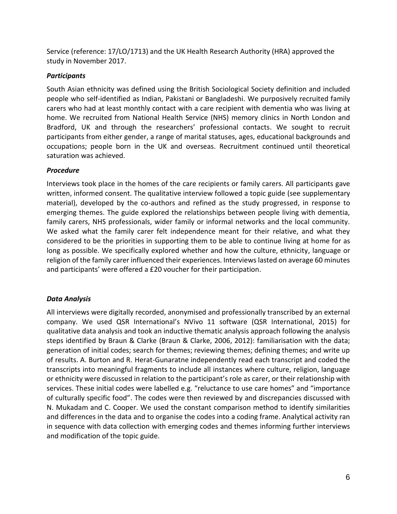Service (reference: 17/LO/1713) and the UK Health Research Authority (HRA) approved the study in November 2017.

# *Participants*

South Asian ethnicity was defined using the British Sociological Society definition and included people who self-identified as Indian, Pakistani or Bangladeshi. We purposively recruited family carers who had at least monthly contact with a care recipient with dementia who was living at home. We recruited from National Health Service (NHS) memory clinics in North London and Bradford, UK and through the researchers' professional contacts. We sought to recruit participants from either gender, a range of marital statuses, ages, educational backgrounds and occupations; people born in the UK and overseas. Recruitment continued until theoretical saturation was achieved.

# *Procedure*

Interviews took place in the homes of the care recipients or family carers. All participants gave written, informed consent. The qualitative interview followed a topic guide (see supplementary material), developed by the co-authors and refined as the study progressed, in response to emerging themes. The guide explored the relationships between people living with dementia, family carers, NHS professionals, wider family or informal networks and the local community. We asked what the family carer felt independence meant for their relative, and what they considered to be the priorities in supporting them to be able to continue living at home for as long as possible. We specifically explored whether and how the culture, ethnicity, language or religion of the family carer influenced their experiences. Interviews lasted on average 60 minutes and participants' were offered a £20 voucher for their participation.

# *Data Analysis*

All interviews were digitally recorded, anonymised and professionally transcribed by an external company. We used QSR International's NVivo 11 software (QSR International, 2015) for qualitative data analysis and took an inductive thematic analysis approach following the analysis steps identified by Braun & Clarke (Braun & Clarke, 2006, 2012): familiarisation with the data; generation of initial codes; search for themes; reviewing themes; defining themes; and write up of results. A. Burton and R. Herat-Gunaratne independently read each transcript and coded the transcripts into meaningful fragments to include all instances where culture, religion, language or ethnicity were discussed in relation to the participant's role as carer, or their relationship with services. These initial codes were labelled e.g. "reluctance to use care homes" and "importance of culturally specific food". The codes were then reviewed by and discrepancies discussed with N. Mukadam and C. Cooper. We used the constant comparison method to identify similarities and differences in the data and to organise the codes into a coding frame. Analytical activity ran in sequence with data collection with emerging codes and themes informing further interviews and modification of the topic guide.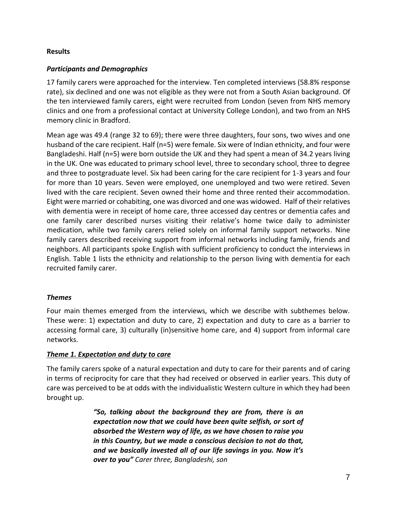## **Results**

## *Participants and Demographics*

17 family carers were approached for the interview. Ten completed interviews (58.8% response rate), six declined and one was not eligible as they were not from a South Asian background. Of the ten interviewed family carers, eight were recruited from London (seven from NHS memory clinics and one from a professional contact at University College London), and two from an NHS memory clinic in Bradford.

Mean age was 49.4 (range 32 to 69); there were three daughters, four sons, two wives and one husband of the care recipient. Half (n=5) were female. Six were of Indian ethnicity, and four were Bangladeshi. Half (n=5) were born outside the UK and they had spent a mean of 34.2 years living in the UK. One was educated to primary school level, three to secondary school, three to degree and three to postgraduate level. Six had been caring for the care recipient for 1-3 years and four for more than 10 years. Seven were employed, one unemployed and two were retired. Seven lived with the care recipient. Seven owned their home and three rented their accommodation. Eight were married or cohabiting, one was divorced and one was widowed. Half of their relatives with dementia were in receipt of home care, three accessed day centres or dementia cafes and one family carer described nurses visiting their relative's home twice daily to administer medication, while two family carers relied solely on informal family support networks. Nine family carers described receiving support from informal networks including family, friends and neighbors. All participants spoke English with sufficient proficiency to conduct the interviews in English. Table 1 lists the ethnicity and relationship to the person living with dementia for each recruited family carer.

# *Themes*

Four main themes emerged from the interviews, which we describe with subthemes below. These were: 1) expectation and duty to care, 2) expectation and duty to care as a barrier to accessing formal care, 3) culturally (in)sensitive home care, and 4) support from informal care networks.

### *Theme 1. Expectation and duty to care*

The family carers spoke of a natural expectation and duty to care for their parents and of caring in terms of reciprocity for care that they had received or observed in earlier years. This duty of care was perceived to be at odds with the individualistic Western culture in which they had been brought up.

> *"So, talking about the background they are from, there is an expectation now that we could have been quite selfish, or sort of absorbed the Western way of life, as we have chosen to raise you in this Country, but we made a conscious decision to not do that, and we basically invested all of our life savings in you. Now it's over to you" Carer three, Bangladeshi, son*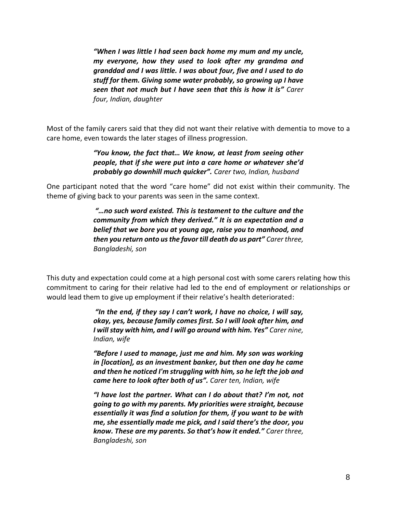*"When I was little I had seen back home my mum and my uncle, my everyone, how they used to look after my grandma and granddad and I was little. I was about four, five and I used to do stuff for them. Giving some water probably, so growing up I have seen that not much but I have seen that this is how it is" Carer four, Indian, daughter*

Most of the family carers said that they did not want their relative with dementia to move to a care home, even towards the later stages of illness progression.

> *"You know, the fact that… We know, at least from seeing other people, that if she were put into a care home or whatever she'd probably go downhill much quicker". Carer two, Indian, husband*

One participant noted that the word "care home" did not exist within their community. The theme of giving back to your parents was seen in the same context.

> *"…no such word existed. This is testament to the culture and the community from which they derived." It is an expectation and a belief that we bore you at young age, raise you to manhood, and then you return onto us the favor till death do us part" Carer three, Bangladeshi, son*

This duty and expectation could come at a high personal cost with some carers relating how this commitment to caring for their relative had led to the end of employment or relationships or would lead them to give up employment if their relative's health deteriorated:

> *"In the end, if they say I can't work, I have no choice, I will say, okay, yes, because family comes first. So I will look after him, and I will stay with him, and I will go around with him. Yes" Carer nine, Indian, wife*

> *"Before I used to manage, just me and him. My son was working in [location], as an investment banker, but then one day he came and then he noticed I'm struggling with him, so he left the job and came here to look after both of us". Carer ten, Indian, wife*

> *"I have lost the partner. What can I do about that? I'm not, not going to go with my parents. My priorities were straight, because essentially it was find a solution for them, if you want to be with me, she essentially made me pick, and I said there's the door, you know. These are my parents. So that's how it ended." Carer three, Bangladeshi, son*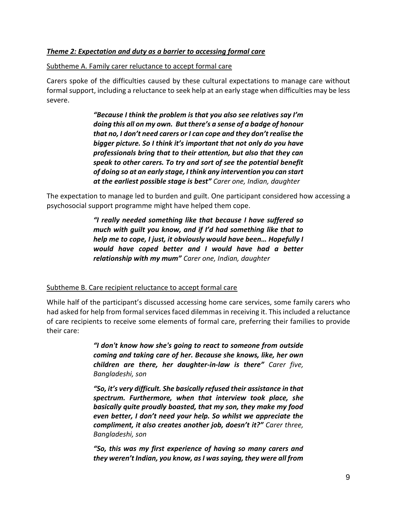## *Theme 2: Expectation and duty as a barrier to accessing formal care*

#### Subtheme A. Family carer reluctance to accept formal care

Carers spoke of the difficulties caused by these cultural expectations to manage care without formal support, including a reluctance to seek help at an early stage when difficulties may be less severe.

> *"Because I think the problem is that you also see relatives say I'm doing this all on my own. But there's a sense of a badge of honour that no, I don't need carers or I can cope and they don't realise the bigger picture. So I think it's important that not only do you have professionals bring that to their attention, but also that they can speak to other carers. To try and sort of see the potential benefit of doing so at an early stage, I think any intervention you can start at the earliest possible stage is best" Carer one, Indian, daughter*

The expectation to manage led to burden and guilt. One participant considered how accessing a psychosocial support programme might have helped them cope.

> *"I really needed something like that because I have suffered so much with guilt you know, and if I'd had something like that to help me to cope, I just, it obviously would have been… Hopefully I would have coped better and I would have had a better relationship with my mum" Carer one, Indian, daughter*

### Subtheme B. Care recipient reluctance to accept formal care

While half of the participant's discussed accessing home care services, some family carers who had asked for help from formal services faced dilemmas in receiving it. This included a reluctance of care recipients to receive some elements of formal care, preferring their families to provide their care:

> *"I don't know how she's going to react to someone from outside coming and taking care of her. Because she knows, like, her own children are there, her daughter-in-law is there" Carer five, Bangladeshi, son*

> *"So, it's very difficult. She basically refused their assistance in that spectrum. Furthermore, when that interview took place, she basically quite proudly boasted, that my son, they make my food even better, I don't need your help. So whilst we appreciate the compliment, it also creates another job, doesn't it?" Carer three, Bangladeshi, son*

> *"So, this was my first experience of having so many carers and they weren't Indian, you know, as I was saying, they were all from*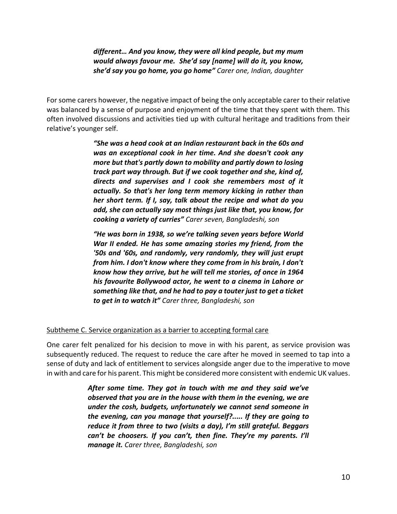# *different… And you know, they were all kind people, but my mum would always favour me. She'd say [name] will do it, you know, she'd say you go home, you go home" Carer one, Indian, daughter*

For some carers however, the negative impact of being the only acceptable carer to their relative was balanced by a sense of purpose and enjoyment of the time that they spent with them. This often involved discussions and activities tied up with cultural heritage and traditions from their relative's younger self.

> *"She was a head cook at an Indian restaurant back in the 60s and was an exceptional cook in her time. And she doesn't cook any more but that's partly down to mobility and partly down to losing track part way through. But if we cook together and she, kind of, directs and supervises and I cook she remembers most of it actually. So that's her long term memory kicking in rather than her short term. If I, say, talk about the recipe and what do you add, she can actually say most things just like that, you know, for cooking a variety of curries" Carer seven, Bangladeshi, son*

> *"He was born in 1938, so we're talking seven years before World War II ended. He has some amazing stories my friend, from the '50s and '60s, and randomly, very randomly, they will just erupt from him. I don't know where they come from in his brain, I don't know how they arrive, but he will tell me stories, of once in 1964 his favourite Bollywood actor, he went to a cinema in Lahore or something like that, and he had to pay a touter just to get a ticket to get in to watch it" Carer three, Bangladeshi, son*

# Subtheme C. Service organization as a barrier to accepting formal care

One carer felt penalized for his decision to move in with his parent, as service provision was subsequently reduced. The request to reduce the care after he moved in seemed to tap into a sense of duty and lack of entitlement to services alongside anger due to the imperative to move in with and care for his parent. This might be considered more consistent with endemic UK values.

> *After some time. They got in touch with me and they said we've observed that you are in the house with them in the evening, we are under the cosh, budgets, unfortunately we cannot send someone in the evening, can you manage that yourself?..... If they are going to reduce it from three to two (visits a day), I'm still grateful. Beggars can't be choosers. If you can't, then fine. They're my parents. I'll manage it. Carer three, Bangladeshi, son*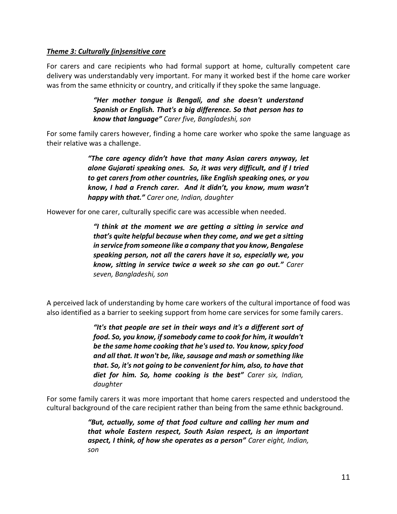## *Theme 3: Culturally (in)sensitive care*

For carers and care recipients who had formal support at home, culturally competent care delivery was understandably very important. For many it worked best if the home care worker was from the same ethnicity or country, and critically if they spoke the same language.

> *"Her mother tongue is Bengali, and she doesn't understand Spanish or English. That's a big difference. So that person has to know that language" Carer five, Bangladeshi, son*

For some family carers however, finding a home care worker who spoke the same language as their relative was a challenge.

> *"The care agency didn't have that many Asian carers anyway, let alone Gujarati speaking ones. So, it was very difficult, and if I tried to get carers from other countries, like English speaking ones, or you know, I had a French carer. And it didn't, you know, mum wasn't happy with that." Carer one, Indian, daughter*

However for one carer, culturally specific care was accessible when needed.

*"I think at the moment we are getting a sitting in service and that's quite helpful because when they come, and we get a sitting in service from someone like a company that you know, Bengalese speaking person, not all the carers have it so, especially we, you know, sitting in service twice a week so she can go out." Carer seven, Bangladeshi, son*

A perceived lack of understanding by home care workers of the cultural importance of food was also identified as a barrier to seeking support from home care services for some family carers.

> *"It's that people are set in their ways and it's a different sort of food. So, you know, if somebody came to cook for him, it wouldn't be the same home cooking that he's used to. You know, spicy food and all that. It won't be, like, sausage and mash or something like that. So, it's not going to be convenient for him, also, to have that diet for him. So, home cooking is the best" Carer six, Indian, daughter*

For some family carers it was more important that home carers respected and understood the cultural background of the care recipient rather than being from the same ethnic background.

> *"But, actually, some of that food culture and calling her mum and that whole Eastern respect, South Asian respect, is an important aspect, I think, of how she operates as a person" Carer eight, Indian, son*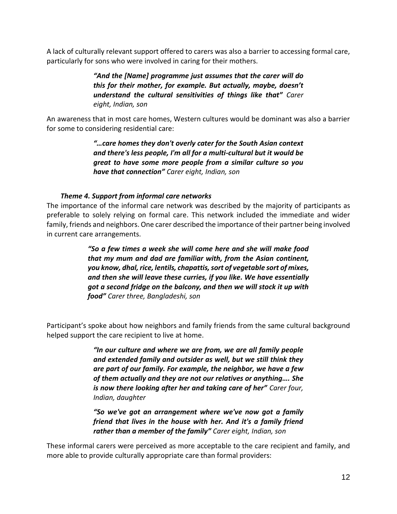A lack of culturally relevant support offered to carers was also a barrier to accessing formal care, particularly for sons who were involved in caring for their mothers.

> *"And the [Name] programme just assumes that the carer will do this for their mother, for example. But actually, maybe, doesn't understand the cultural sensitivities of things like that" Carer eight, Indian, son*

An awareness that in most care homes, Western cultures would be dominant was also a barrier for some to considering residential care:

> *"…care homes they don't overly cater for the South Asian context and there's less people, I'm all for a multi-cultural but it would be great to have some more people from a similar culture so you have that connection" Carer eight, Indian, son*

# *Theme 4. Support from informal care networks*

The importance of the informal care network was described by the majority of participants as preferable to solely relying on formal care. This network included the immediate and wider family, friends and neighbors. One carer described the importance of their partner being involved in current care arrangements.

> *"So a few times a week she will come here and she will make food that my mum and dad are familiar with, from the Asian continent, you know, dhal, rice, lentils, chapattis, sort of vegetable sort of mixes, and then she will leave these curries, if you like. We have essentially got a second fridge on the balcony, and then we will stock it up with food" Carer three, Bangladeshi, son*

Participant's spoke about how neighbors and family friends from the same cultural background helped support the care recipient to live at home.

> *"In our culture and where we are from, we are all family people and extended family and outsider as well, but we still think they are part of our family. For example, the neighbor, we have a few of them actually and they are not our relatives or anything…. She is now there looking after her and taking care of her" Carer four, Indian, daughter*

> *"So we've got an arrangement where we've now got a family friend that lives in the house with her. And it's a family friend rather than a member of the family" Carer eight, Indian, son*

These informal carers were perceived as more acceptable to the care recipient and family, and more able to provide culturally appropriate care than formal providers: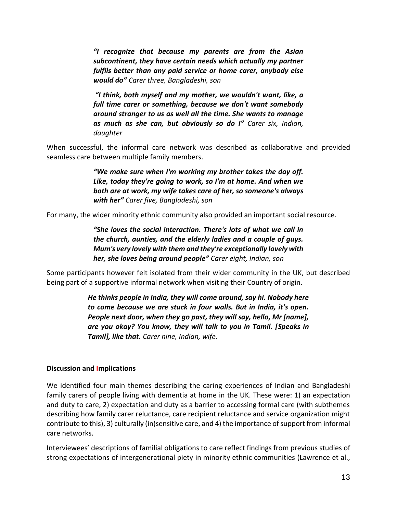*"I recognize that because my parents are from the Asian subcontinent, they have certain needs which actually my partner fulfils better than any paid service or home carer, anybody else would do" Carer three, Bangladeshi, son*

*"I think, both myself and my mother, we wouldn't want, like, a full time carer or something, because we don't want somebody around stranger to us as well all the time. She wants to manage as much as she can, but obviously so do I" Carer six, Indian, daughter*

When successful, the informal care network was described as collaborative and provided seamless care between multiple family members.

> *"We make sure when I'm working my brother takes the day off. Like, today they're going to work, so I'm at home. And when we both are at work, my wife takes care of her, so someone's always with her" Carer five, Bangladeshi, son*

For many, the wider minority ethnic community also provided an important social resource.

*"She loves the social interaction. There's lots of what we call in the church, aunties, and the elderly ladies and a couple of guys. Mum's very lovely with them and they're exceptionally lovely with her, she loves being around people" Carer eight, Indian, son*

Some participants however felt isolated from their wider community in the UK, but described being part of a supportive informal network when visiting their Country of origin.

> *He thinks people in India, they will come around, say hi. Nobody here to come because we are stuck in four walls. But in India, it's open. People next door, when they go past, they will say, hello, Mr [name], are you okay? You know, they will talk to you in Tamil. [Speaks in Tamil], like that. Carer nine, Indian, wife.*

### **Discussion and Implications**

We identified four main themes describing the caring experiences of Indian and Bangladeshi family carers of people living with dementia at home in the UK. These were: 1) an expectation and duty to care, 2) expectation and duty as a barrier to accessing formal care (with subthemes describing how family carer reluctance, care recipient reluctance and service organization might contribute to this), 3) culturally (in)sensitive care, and 4) the importance of support from informal care networks.

Interviewees' descriptions of familial obligations to care reflect findings from previous studies of strong expectations of intergenerational piety in minority ethnic communities (Lawrence et al.,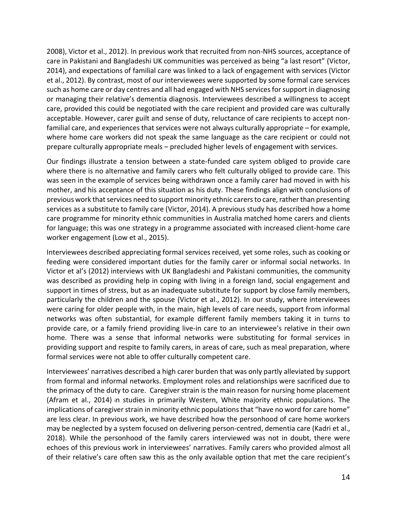2008), Victor et al., 2012). In previous work that recruited from non-NHS sources, acceptance of care in Pakistani and Bangladeshi UK communities was perceived as being "a last resort" (Victor, 2014), and expectations of familial care was linked to a lack of engagement with services (Victor et al., 2012). By contrast, most of our interviewees were supported by some formal care services such as home care or day centres and all had engaged with NHS services for support in diagnosing or managing their relative's dementia diagnosis. Interviewees described a willingness to accept care, provided this could be negotiated with the care recipient and provided care was culturally acceptable. However, carer guilt and sense of duty, reluctance of care recipients to accept nonfamilial care, and experiences that services were not always culturally appropriate – for example, where home care workers did not speak the same language as the care recipient or could not prepare culturally appropriate meals – precluded higher levels of engagement with services.

Our findings illustrate a tension between a state-funded care system obliged to provide care where there is no alternative and family carers who felt culturally obliged to provide care. This was seen in the example of services being withdrawn once a family carer had moved in with his mother, and his acceptance of this situation as his duty. These findings align with conclusions of previous work that services need to support minority ethnic carers to care, rather than presenting services as a substitute to family care (Victor, 2014). A previous study has described how a home care programme for minority ethnic communities in Australia matched home carers and clients for language; this was one strategy in a programme associated with increased client-home care worker engagement (Low et al., 2015).

Interviewees described appreciating formal services received, yet some roles, such as cooking or feeding were considered important duties for the family carer or informal social networks. In Victor et al's (2012) interviews with UK Bangladeshi and Pakistani communities, the community was described as providing help in coping with living in a foreign land, social engagement and support in times of stress, but as an inadequate substitute for support by close family members, particularly the children and the spouse (Victor et al., 2012). In our study, where interviewees were caring for older people with, in the main, high levels of care needs, support from informal networks was often substantial, for example different family members taking it in turns to provide care, or a family friend providing live-in care to an interviewee's relative in their own home. There was a sense that informal networks were substituting for formal services in providing support and respite to family carers, in areas of care, such as meal preparation, where formal services were not able to offer culturally competent care.

Interviewees' narratives described a high carer burden that was only partly alleviated by support from formal and informal networks. Employment roles and relationships were sacrificed due to the primacy of the duty to care. Caregiver strain is the main reason for nursing home placement (Afram et al., 2014) <sup>i</sup>n studies in primarily Western, White majority ethnic populations. The implications of caregiver strain in minority ethnic populations that "have no word for care home" are less clear. In previous work, we have described how the personhood of care home workers may be neglected by a system focused on delivering person-centred, dementia care (Kadri et al., 2018). While the personhood of the family carers interviewed was not in doubt, there were echoes of this previous work in interviewees' narratives. Family carers who provided almost all of their relative's care often saw this as the only available option that met the care recipient's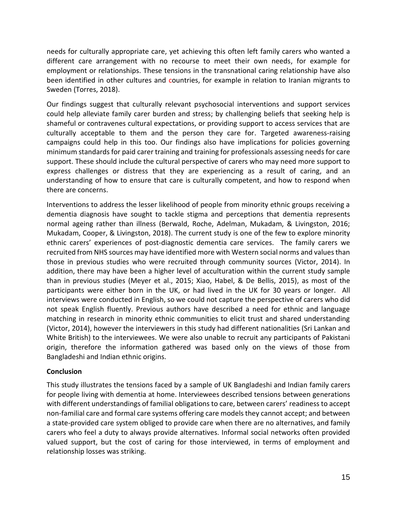needs for culturally appropriate care, yet achieving this often left family carers who wanted a different care arrangement with no recourse to meet their own needs, for example for employment or relationships. These tensions in the transnational caring relationship have also been identified in other cultures and countries, for example in relation to Iranian migrants to Sweden (Torres, 2018).

Our findings suggest that culturally relevant psychosocial interventions and support services could help alleviate family carer burden and stress; by challenging beliefs that seeking help is shameful or contravenes cultural expectations, or providing support to access services that are culturally acceptable to them and the person they care for. Targeted awareness-raising campaigns could help in this too. Our findings also have implications for policies governing minimum standards for paid carer training and training for professionals assessing needs for care support. These should include the cultural perspective of carers who may need more support to express challenges or distress that they are experiencing as a result of caring, and an understanding of how to ensure that care is culturally competent, and how to respond when there are concerns.

Interventions to address the lesser likelihood of people from minority ethnic groups receiving a dementia diagnosis have sought to tackle stigma and perceptions that dementia represents normal ageing rather than illness (Berwald, Roche, Adelman, Mukadam, & Livingston, 2016; Mukadam, Cooper, & Livingston, 2018). The current study is one of the few to explore minority ethnic carers' experiences of post-diagnostic dementia care services. The family carers we recruited from NHS sources may have identified more with Western social norms and values than those in previous studies who were recruited through community sources (Victor, 2014). In addition, there may have been a higher level of acculturation within the current study sample than in previous studies (Meyer et al., 2015; Xiao, Habel, & De Bellis, 2015), as most of the participants were either born in the UK, or had lived in the UK for 30 years or longer. All interviews were conducted in English, so we could not capture the perspective of carers who did not speak English fluently. Previous authors have described a need for ethnic and language matching in research in minority ethnic communities to elicit trust and shared understanding (Victor, 2014), however the interviewers in this study had different nationalities (Sri Lankan and White British) to the interviewees. We were also unable to recruit any participants of Pakistani origin, therefore the information gathered was based only on the views of those from Bangladeshi and Indian ethnic origins.

# **Conclusion**

This study illustrates the tensions faced by a sample of UK Bangladeshi and Indian family carers for people living with dementia at home. Interviewees described tensions between generations with different understandings of familial obligations to care, between carers' readiness to accept non-familial care and formal care systems offering care models they cannot accept; and between a state-provided care system obliged to provide care when there are no alternatives, and family carers who feel a duty to always provide alternatives. Informal social networks often provided valued support, but the cost of caring for those interviewed, in terms of employment and relationship losses was striking.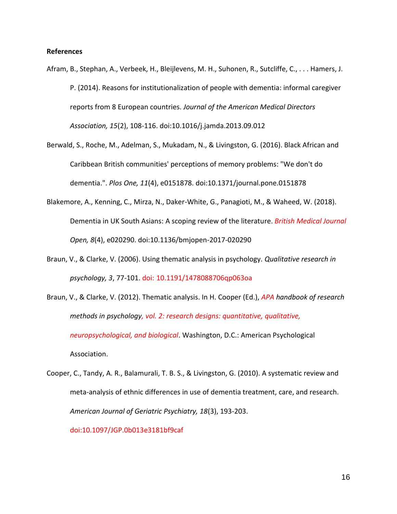#### **References**

- Afram, B., Stephan, A., Verbeek, H., Bleijlevens, M. H., Suhonen, R., Sutcliffe, C., . . . Hamers, J. P. (2014). Reasons for institutionalization of people with dementia: informal caregiver reports from 8 European countries. *Journal of the American Medical Directors Association, 15*(2), 108-116. doi:10.1016/j.jamda.2013.09.012
- Berwald, S., Roche, M., Adelman, S., Mukadam, N., & Livingston, G. (2016). Black African and Caribbean British communities' perceptions of memory problems: "We don't do dementia.". *Plos One, 11*(4), e0151878. doi:10.1371/journal.pone.0151878
- Blakemore, A., Kenning, C., Mirza, N., Daker-White, G., Panagioti, M., & Waheed, W. (2018). Dementia in UK South Asians: A scoping review of the literature. *British Medical Journal Open, 8*(4), e020290. doi:10.1136/bmjopen-2017-020290
- Braun, V., & Clarke, V. (2006). Using thematic analysis in psychology. *Qualitative research in psychology, 3*, 77-101. doi: 10.1191/1478088706qp063oa
- Braun, V., & Clarke, V. (2012). Thematic analysis. In H. Cooper (Ed.), *APA handbook of research methods in psychology, vol. 2: research designs: quantitative, qualitative, neuropsychological, and biological*. Washington, D.C.: American Psychological Association.
- Cooper, C., Tandy, A. R., Balamurali, T. B. S., & Livingston, G. (2010). A systematic review and meta-analysis of ethnic differences in use of dementia treatment, care, and research. *American Journal of Geriatric Psychiatry, 18*(3), 193-203.

#### doi:10.1097/JGP.0b013e3181bf9caf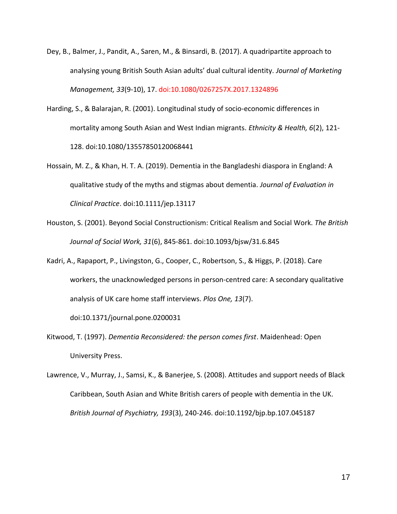- Dey, B., Balmer, J., Pandit, A., Saren, M., & Binsardi, B. (2017). A quadripartite approach to analysing young British South Asian adults' dual cultural identity. *Journal of Marketing Management, 33*(9-10), 17. doi:10.1080/0267257X.2017.1324896
- Harding, S., & Balarajan, R. (2001). Longitudinal study of socio-economic differences in mortality among South Asian and West Indian migrants. *Ethnicity & Health, 6*(2), 121- 128. doi:10.1080/13557850120068441
- Hossain, M. Z., & Khan, H. T. A. (2019). Dementia in the Bangladeshi diaspora in England: A qualitative study of the myths and stigmas about dementia. *Journal of Evaluation in Clinical Practice*. doi:10.1111/jep.13117
- Houston, S. (2001). Beyond Social Constructionism: Critical Realism and Social Work. *The British Journal of Social Work, 31*(6), 845-861. doi:10.1093/bjsw/31.6.845
- Kadri, A., Rapaport, P., Livingston, G., Cooper, C., Robertson, S., & Higgs, P. (2018). Care workers, the unacknowledged persons in person-centred care: A secondary qualitative analysis of UK care home staff interviews. *Plos One, 13*(7).

doi:10.1371/journal.pone.0200031

- Kitwood, T. (1997). *Dementia Reconsidered: the person comes first*. Maidenhead: Open University Press.
- Lawrence, V., Murray, J., Samsi, K., & Banerjee, S. (2008). Attitudes and support needs of Black Caribbean, South Asian and White British carers of people with dementia in the UK. *British Journal of Psychiatry, 193*(3), 240-246. doi:10.1192/bjp.bp.107.045187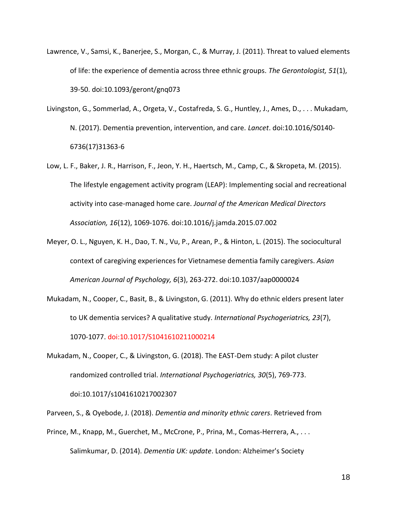- Lawrence, V., Samsi, K., Banerjee, S., Morgan, C., & Murray, J. (2011). Threat to valued elements of life: the experience of dementia across three ethnic groups. *The Gerontologist, 51*(1), 39-50. doi:10.1093/geront/gnq073
- Livingston, G., Sommerlad, A., Orgeta, V., Costafreda, S. G., Huntley, J., Ames, D., . . . Mukadam, N. (2017). Dementia prevention, intervention, and care. *Lancet*. doi:10.1016/S0140- 6736(17)31363-6
- Low, L. F., Baker, J. R., Harrison, F., Jeon, Y. H., Haertsch, M., Camp, C., & Skropeta, M. (2015). The lifestyle engagement activity program (LEAP): Implementing social and recreational activity into case-managed home care. *Journal of the American Medical Directors Association, 16*(12), 1069-1076. doi:10.1016/j.jamda.2015.07.002
- Meyer, O. L., Nguyen, K. H., Dao, T. N., Vu, P., Arean, P., & Hinton, L. (2015). The sociocultural context of caregiving experiences for Vietnamese dementia family caregivers. *Asian American Journal of Psychology, 6*(3), 263-272. doi:10.1037/aap0000024
- Mukadam, N., Cooper, C., Basit, B., & Livingston, G. (2011). Why do ethnic elders present later to UK dementia services? A qualitative study. *International Psychogeriatrics, 23*(7), 1070-1077. doi:10.1017/S1041610211000214
- Mukadam, N., Cooper, C., & Livingston, G. (2018). The EAST-Dem study: A pilot cluster randomized controlled trial. *International Psychogeriatrics, 30*(5), 769-773. doi:10.1017/s1041610217002307

Parveen, S., & Oyebode, J. (2018). *Dementia and minority ethnic carers*. Retrieved from

Prince, M., Knapp, M., Guerchet, M., McCrone, P., Prina, M., Comas-Herrera, A., . . . Salimkumar, D. (2014). *Dementia UK: update*. London: Alzheimer's Society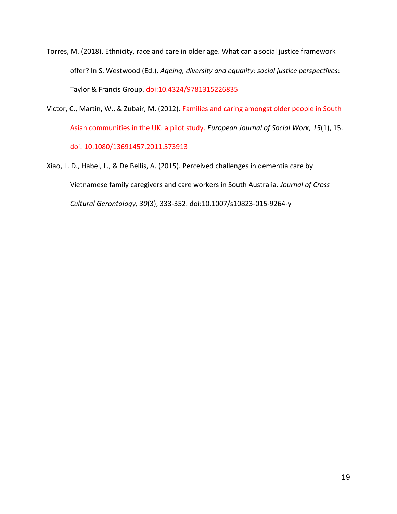Torres, M. (2018). Ethnicity, race and care in older age. What can a social justice framework offer? In S. Westwood (Ed.), *Ageing, diversity and equality: social justice perspectives*: Taylor & Francis Group. doi:10.4324/9781315226835

- Victor, C., Martin, W., & Zubair, M. (2012). Families and caring amongst older people in South Asian communities in the UK: a pilot study. *European Journal of Social Work, 15*(1), 15. doi: 10.1080/13691457.2011.573913
- Xiao, L. D., Habel, L., & De Bellis, A. (2015). Perceived challenges in dementia care by Vietnamese family caregivers and care workers in South Australia. *Journal of Cross Cultural Gerontology, 30*(3), 333-352. doi:10.1007/s10823-015-9264-y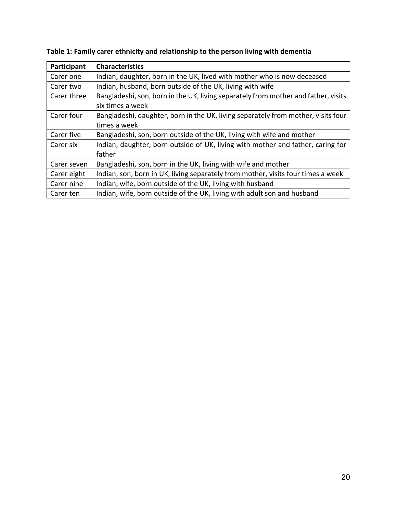| Participant | <b>Characteristics</b>                                                             |
|-------------|------------------------------------------------------------------------------------|
| Carer one   | Indian, daughter, born in the UK, lived with mother who is now deceased            |
| Carer two   | Indian, husband, born outside of the UK, living with wife                          |
| Carer three | Bangladeshi, son, born in the UK, living separately from mother and father, visits |
|             | six times a week                                                                   |
| Carer four  | Bangladeshi, daughter, born in the UK, living separately from mother, visits four  |
|             | times a week                                                                       |
| Carer five  | Bangladeshi, son, born outside of the UK, living with wife and mother              |
| Carer six   | Indian, daughter, born outside of UK, living with mother and father, caring for    |
|             | father                                                                             |
| Carer seven | Bangladeshi, son, born in the UK, living with wife and mother                      |
| Carer eight | Indian, son, born in UK, living separately from mother, visits four times a week   |
| Carer nine  | Indian, wife, born outside of the UK, living with husband                          |
| Carer ten   | Indian, wife, born outside of the UK, living with adult son and husband            |

**Table 1: Family carer ethnicity and relationship to the person living with dementia**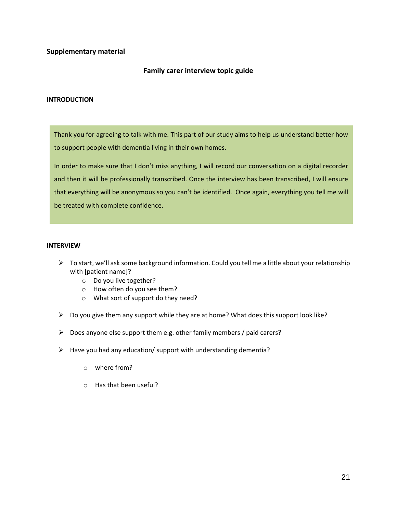#### **Supplementary material**

#### **Family carer interview topic guide**

#### **INTRODUCTION**

Thank you for agreeing to talk with me. This part of our study aims to help us understand better how to support people with dementia living in their own homes.

In order to make sure that I don't miss anything, I will record our conversation on a digital recorder and then it will be professionally transcribed. Once the interview has been transcribed, I will ensure that everything will be anonymous so you can't be identified. Once again, everything you tell me will be treated with complete confidence.

#### **INTERVIEW**

- $\triangleright$  To start, we'll ask some background information. Could you tell me a little about your relationship with [patient name]?
	- o Do you live together?
	- o How often do you see them?
	- o What sort of support do they need?
- $\triangleright$  Do you give them any support while they are at home? What does this support look like?
- $\triangleright$  Does anyone else support them e.g. other family members / paid carers?
- $\triangleright$  Have you had any education/ support with understanding dementia?
	- o where from?
	- o Has that been useful?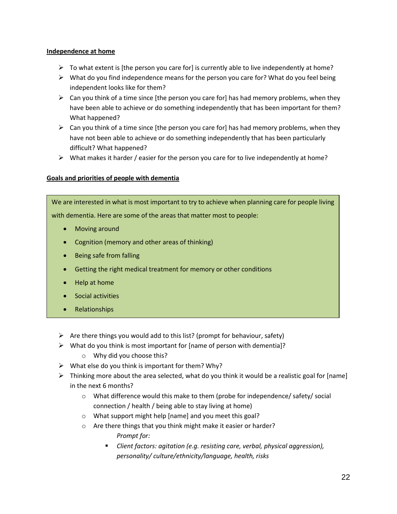#### **Independence at home**

- $\triangleright$  To what extent is [the person you care for] is currently able to live independently at home?
- $\triangleright$  What do you find independence means for the person you care for? What do you feel being independent looks like for them?
- $\triangleright$  Can you think of a time since [the person you care for] has had memory problems, when they have been able to achieve or do something independently that has been important for them? What happened?
- $\triangleright$  Can you think of a time since [the person you care for] has had memory problems, when they have not been able to achieve or do something independently that has been particularly difficult? What happened?
- $\triangleright$  What makes it harder / easier for the person you care for to live independently at home?

### **Goals and priorities of people with dementia**

We are interested in what is most important to try to achieve when planning care for people living with dementia. Here are some of the areas that matter most to people:

- Moving around
- Cognition (memory and other areas of thinking)
- Being safe from falling
- Getting the right medical treatment for memory or other conditions
- Help at home
- Social activities
- Relationships
- $\triangleright$  Are there things you would add to this list? (prompt for behaviour, safety)
- $\triangleright$  What do you think is most important for [name of person with dementia]?
	- o Why did you choose this?
- $\triangleright$  What else do you think is important for them? Why?
- $\triangleright$  Thinking more about the area selected, what do you think it would be a realistic goal for [name] in the next 6 months?
	- $\circ$  What difference would this make to them (probe for independence/ safety/ social connection / health / being able to stay living at home)
	- o What support might help [name] and you meet this goal?
	- o Are there things that you think might make it easier or harder? *Prompt for:* 
		- *Client factors: agitation (e.g. resisting care, verbal, physical aggression), personality/ culture/ethnicity/language, health, risks*